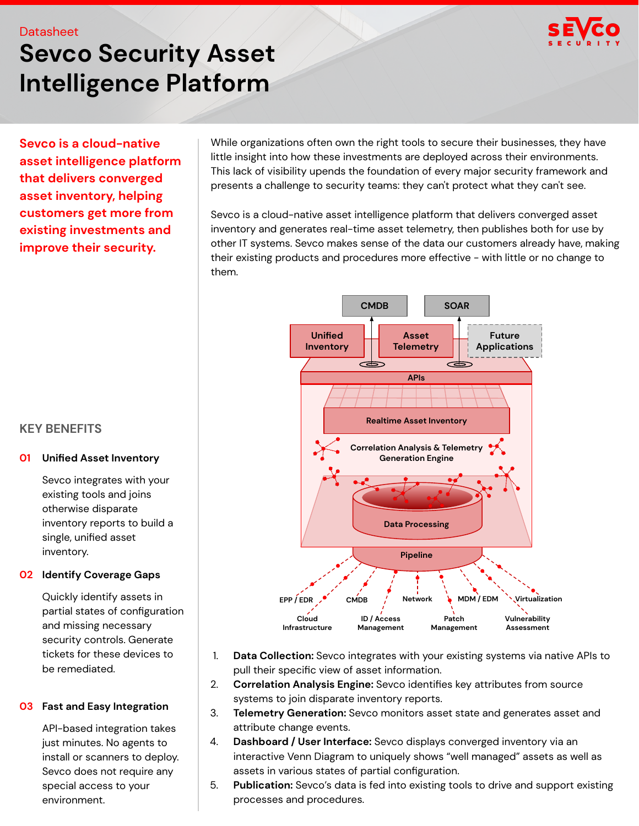# **Sevco Security Asset Intelligence Platform**

**Sevco is a cloud-native asset intelligence platform that delivers converged asset inventory, helping customers get more from existing investments and improve their security.**

While organizations often own the right tools to secure their businesses, they have little insight into how these investments are deployed across their environments. This lack of visibility upends the foundation of every major security framework and presents a challenge to security teams: they can't protect what they can't see.

Sevco is a cloud-native asset intelligence platform that delivers converged asset inventory and generates real-time asset telemetry, then publishes both for use by other IT systems. Sevco makes sense of the data our customers already have, making their existing products and procedures more effective - with little or no change to them.



- 1. **Data Collection:** Sevco integrates with your existing systems via native APIs to pull their specific view of asset information.
- 2. **Correlation Analysis Engine:** Sevco identifies key attributes from source systems to join disparate inventory reports.
- 3. **Telemetry Generation:** Sevco monitors asset state and generates asset and attribute change events.
- 4. **Dashboard / User Interface:** Sevco displays converged inventory via an interactive Venn Diagram to uniquely shows "well managed" assets as well as assets in various states of partial configuration.
- 5. **Publication:** Sevco's data is fed into existing tools to drive and support existing processes and procedures.

## **KEY BENEFITS**

#### **01 Unified Asset Inventory**

Sevco integrates with your existing tools and joins otherwise disparate inventory reports to build a single, unified asset inventory.

#### **02 Identify Coverage Gaps**

Quickly identify assets in partial states of configuration and missing necessary security controls. Generate tickets for these devices to be remediated.

#### **03 Fast and Easy Integration**

API-based integration takes just minutes. No agents to install or scanners to deploy. Sevco does not require any special access to your environment.